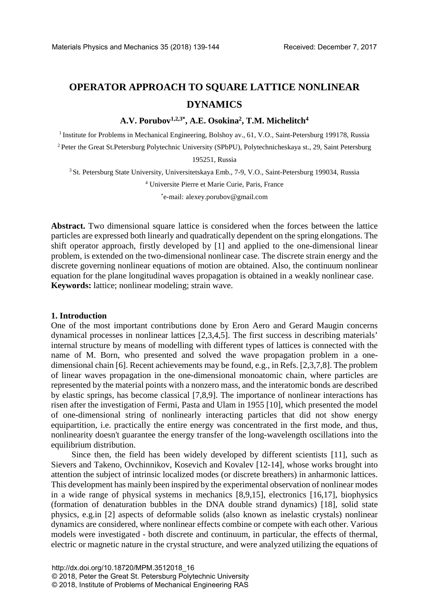# **OPERATOR APPROACH TO SQUARE LATTICE NONLINEAR DYNAMICS**

**A.V. Porubov1,2,3\*, A.E. Osokina2, T.M. Michelitch4**

<sup>1</sup> Institute for Problems in Mechanical Engineering, Bolshoy av., 61, V.O., Saint-Petersburg 199178, Russia

2 Peter the Great St.Petersburg Polytechnic University (SPbPU), Polytechnicheskaya st., 29, Saint Petersburg

195251, Russia

3 St. Petersburg State University, Universitetskaya Emb., 7-9, V.O., Saint-Petersburg 199034, Russia

<sup>4</sup> Universite Pierre et Marie Curie, Paris, France

\* e-mail: [alexey.porubov@gmail.com](mailto:alexey.porubov@gmail.com)

**Abstract.** Two dimensional square lattice is considered when the forces between the lattice particles are expressed both linearly and quadratically dependent on the spring elongations. The shift operator approach, firstly developed by [1] and applied to the one-dimensional linear problem, is extended on the two-dimensional nonlinear case. The discrete strain energy and the discrete governing nonlinear equations of motion are obtained. Also, the continuum nonlinear equation for the plane longitudinal waves propagation is obtained in a weakly nonlinear case. **Keywords:** lattice; nonlinear modeling; strain wave.

#### **1. Introduction**

One of the most important contributions done by Eron Aero and Gerard Maugin concerns dynamical processes in nonlinear lattices [2,3,4,5]. The first success in describing materials' internal structure by means of modelling with different types of lattices is connected with the name of M. Born, who presented and solved the wave propagation problem in a onedimensional chain [6]. Recent achievements may be found, e.g., in Refs. [2,3,7,8]. The problem of linear waves propagation in the one-dimensional monoatomic chain, where particles are represented by the material points with a nonzero mass, and the interatomic bonds are described by elastic springs, has become classical [7,8,9]. The importance of nonlinear interactions has risen after the investigation of Fermi, Pasta and Ulam in 1955 [10], which presented the model of one-dimensional string of nonlinearly interacting particles that did not show energy equipartition, i.e. practically the entire energy was concentrated in the first mode, and thus, nonlinearity doesn't guarantee the energy transfer of the long-wavelength oscillations into the equilibrium distribution.

Since then, the field has been widely developed by different scientists [11], such as Sievers and Takeno, Ovchinnikov, Kosevich and Kovalev [12-14], whose works brought into attention the subject of intrinsic localized modes (or discrete breathers) in anharmonic lattices. This development has mainly been inspired by the experimental observation of nonlinear modes in a wide range of physical systems in mechanics [8,9,15], electronics [16,17], biophysics (formation of denaturation bubbles in the DNA double strand dynamics) [18], solid state physics, e.g.in [2] aspects of deformable solids (also known as inelastic crystals) nonlinear dynamics are considered, where nonlinear effects combine or compete with each other. Various models were investigated - both discrete and continuum, in particular, the effects of thermal, electric or magnetic nature in the crystal structure, and were analyzed utilizing the equations of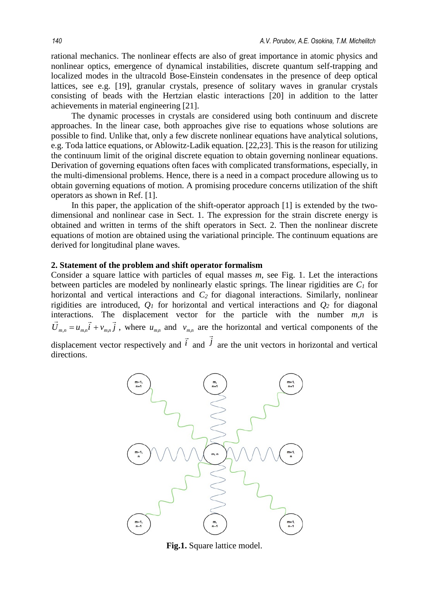rational mechanics. The nonlinear effects are also of great importance in atomic physics and nonlinear optics, emergence of dynamical instabilities, discrete quantum self-trapping and localized modes in the ultracold Bose-Einstein condensates in the presence of deep optical lattices, see e.g. [19], granular crystals, presence of solitary waves in granular crystals consisting of beads with the Hertzian elastic interactions [20] in addition to the latter achievements in material engineering [21].

The dynamic processes in crystals are considered using both continuum and discrete approaches. In the linear case, both approaches give rise to equations whose solutions are possible to find. Unlike that, only a few discrete nonlinear equations have analytical solutions, e.g. Toda lattice equations, or Ablowitz-Ladik equation. [22,23]. This is the reason for utilizing the continuum limit of the original discrete equation to obtain governing nonlinear equations. Derivation of governing equations often faces with complicated transformations, especially, in the multi-dimensional problems. Hence, there is a need in a compact procedure allowing us to obtain governing equations of motion. A promising procedure concerns utilization of the shift operators as shown in Ref. [1].

In this paper, the application of the shift-operator approach [1] is extended by the twodimensional and nonlinear case in Sect. 1. The expression for the strain discrete energy is obtained and written in terms of the shift operators in Sect. 2. Then the nonlinear discrete equations of motion are obtained using the variational principle. The continuum equations are derived for longitudinal plane waves.

## **2. Statement of the problem and shift operator formalism**

Consider a square lattice with particles of equal masses *m*, see Fig. 1. Let the interactions between particles are modeled by nonlinearly elastic springs. The linear rigidities are *C1* for horizontal and vertical interactions and  $C_2$  for diagonal interactions. Similarly, nonlinear rigidities are introduced,  $Q_1$  for horizontal and vertical interactions and  $Q_2$  for diagonal interactions. The displacement vector for the particle with the number *m,n* is  $\vec{U}_{m,n} = u_{m,n} \vec{i} + v_{m,n} \vec{j}$ , where  $u_{m,n}$  and  $v_{m,n}$  are the horizontal and vertical components of the displacement vector respectively and *i*  $\vec{i}$  and  $\vec{j}$  $\overline{\cdot}$ are the unit vectors in horizontal and vertical directions.



**Fig.1.** Square lattice model.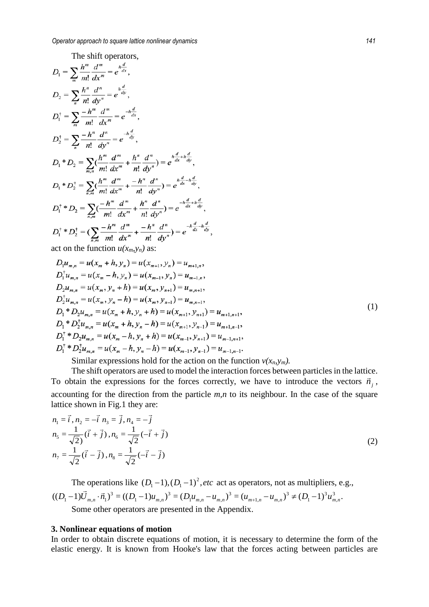The shift operators,  
\n
$$
D_1 = \sum_m \frac{h^m}{m!} \frac{d^m}{dx^m} = e^{\frac{h}{dx}},
$$
\n
$$
D_2 = \sum_n \frac{h^n}{n!} \frac{d^n}{dy^n} = e^{\frac{h}{dy}},
$$
\n
$$
D_1^{\dagger} = \sum_m \frac{-h^m}{m!} \frac{d^m}{dx^m} = e^{-h\frac{d}{dx}},
$$
\n
$$
D_2^{\dagger} = \sum_m \frac{-h^m}{n!} \frac{d^m}{dx^m} = e^{-h\frac{d}{dy}},
$$
\n
$$
D_1^{\dagger} = D_2 = \sum_n (\frac{h^m}{m!} \frac{d^m}{dx^m} + \frac{h^n}{n!} \frac{d^n}{dy^n}) = e^{\frac{h\frac{d}{dx} + h\frac{d}{dy}}{x^m}},
$$
\n
$$
D_1^{\dagger} = D_2^{\dagger} = \sum_{n,m} (\frac{h^m}{m!} \frac{d^m}{dx^m} + \frac{-h^n}{n!} \frac{d^n}{dy^n}) = e^{\frac{h\frac{d}{dx} - h\frac{d}{dy}}{x^m}},
$$
\n
$$
D_1^{\dagger} = D_2^{\dagger} = \sum_{n,m} (\frac{-h^m}{m!} \frac{d^m}{dx^m} + \frac{h^n}{n!} \frac{d^n}{dy^n}) = e^{-h\frac{d}{dx} + h\frac{d}{dy}},
$$
\n
$$
D_1^{\dagger} = D_2^{\dagger} = (\sum_{n,m} \frac{-h^m}{m!} \frac{d^m}{dx^m} + \frac{-h^n}{n!} \frac{d^n}{dy^n}) = e^{-h\frac{d}{dx} + h\frac{d}{dy}}
$$
\n
$$
D_1^{\dagger} = D_2^{\dagger} = (\sum_{n,m} \frac{-h^m}{m!} \frac{d^m}{dx^m} + \frac{-h^n}{n!} \frac{d^n}{dy^n}) = e^{-h\frac{d}{dx} + h\frac{d}{dy}}
$$
\n
$$
D_1^{\dagger} = D_2^{\dagger} = (\sum_{n,m} \frac{-h^m}{m!} \frac{d^m}{dx^m} + \frac{-h^n}{n!} \frac{d^n}{dy^n}) = e^{-h\frac{d}{dx}
$$

$$
D_1 u_{m,n} = u(x_m + h, y_n) = u(x_{m+1}, y_n) = u_{m+1,n},
$$
  
\n
$$
D_1^{\dagger} u_{m,n} = u(x_m - h, y_n) = u(x_{m-1}, y_n) = u_{m-1,n},
$$
  
\n
$$
D_2 u_{m,n} = u(x_m, y_n + h) = u(x_m, y_{n+1}) = u_{m,n+1},
$$
  
\n
$$
D_2^{\dagger} u_{m,n} = u(x_m, y_n - h) = u(x_m, y_{n-1}) = u_{m,n-1},
$$
  
\n
$$
D_1^{\dagger} * D_2 u_{m,n} = u(x_m + h, y_n + h) = u(x_{m+1}, y_{n+1}) = u_{m+1,n+1},
$$
  
\n
$$
D_1^{\dagger} * D_2^{\dagger} u_{m,n} = u(x_m + h, y_n - h) = u(x_{m+1}, y_{n-1}) = u_{m+1,n-1},
$$
  
\n
$$
D_1^{\dagger} * D_2 u_{m,n} = u(x_m - h, y_n + h) = u(x_{m-1}, y_{n+1}) = u_{m-1,n+1},
$$
  
\n
$$
D_1^{\dagger} * D_2^{\dagger} u_{m,n} = u(x_m - h, y_n - h) = u(x_{m-1}, y_{n+1}) = u_{m-1,n-1}.
$$
  
\n(1)

Similar expressions hold for the action on the function  $v(x_n, y_m)$ .

The shift operators are used to model the interaction forces between particles in the lattice. To obtain the expressions for the forces correctly, we have to introduce the vectors  $\vec{n}_j$ , accounting for the direction from the particle *m,n* to its neighbour. In the case of the square lattice shown in Fig.1 they are:

$$
n_1 = \vec{i}, n_2 = -\vec{i}, n_3 = \vec{j}, n_4 = -\vec{j}
$$
  
\n
$$
n_5 = \frac{1}{\sqrt{2}} (\vec{i} + \vec{j}), n_6 = \frac{1}{\sqrt{2}} (-\vec{i} + \vec{j})
$$
  
\n
$$
n_7 = \frac{1}{\sqrt{2}} (\vec{i} - \vec{j}), n_8 = \frac{1}{\sqrt{2}} (-\vec{i} - \vec{j})
$$
\n(2)

The operations like  $(D_1 - 1)$ ,  $(D_1 - 1)^2$ , *etc* act as operators, not as multipliers, e.g.,  $((D_1-1)\overline{U}_{m,n}\cdot \overline{n}_1)^3 = ((D_1-1)u_{m,n})^3 = (D_1u_{m,n}-u_{m,n})^3 = (u_{m+1,n}-u_{m,n})^3 \neq (D_1-1)^3u_{m,n}^3$ 3 1 3  $\mathfrak{u}_{n, n}$   $\mathfrak{u}_{m, n}$ 3  $1^{\mathbf{u}}$ <sub>m,n</sub>  $\mathbf{u}$ <sub>m,</sub> 3  $1 - \mu_{m}$  $D_1 - 1$  $\sum_{m,n} \cdot \vec{n}_1$  $^3 = ((D_1 - 1)u_{m,n})^3 = (D_1u_{m,n} - u_{m,n})^3 = (u_{m+1,n} - u_{m,n})^3 \neq (D_1 - 1)^3 u_{m,n}^3$  $\vec{r}$  = Some other operators are presented in the Appendix.

#### **3. Nonlinear equations of motion**

In order to obtain discrete equations of motion, it is necessary to determine the form of the elastic energy. It is known from Hooke's law that the forces acting between particles are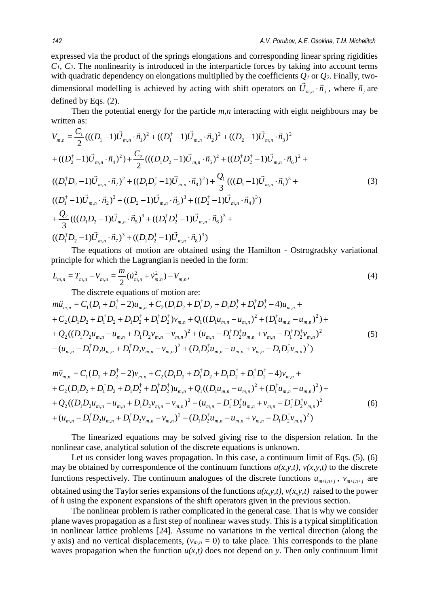expressed via the product of the springs elongations and corresponding linear spring rigidities *C1, C2*. The nonlinearity is introduced in the interparticle forces by taking into account terms with quadratic dependency on elongations multiplied by the coefficients *Q1* or *Q2*. Finally, twodimensional modelling is achieved by acting with shift operators on  $\vec{U}_{m,n} \cdot \vec{n}_j$ , where  $\vec{n}_j$  are defined by Eqs. (2).

Then the potential energy for the particle *m,n* interacting with eight neighbours may be written as:

$$
V_{m,n} = \frac{C_1}{2}(((D_1 - 1)\vec{U}_{m,n} \cdot \vec{n}_1)^2 + ((D_1^{\dagger} - 1)\vec{U}_{m,n} \cdot \vec{n}_2)^2 + ((D_2 - 1)\vec{U}_{m,n} \cdot \vec{n}_3)^2
$$
  
+  $((D_2^{\dagger} - 1)\vec{U}_{m,n} \cdot \vec{n}_4)^2) + \frac{C_2}{2}(((D_1D_2 - 1)\vec{U}_{m,n} \cdot \vec{n}_5)^2 + ((D_1^{\dagger}D_2^{\dagger} - 1)\vec{U}_{m,n} \cdot \vec{n}_6)^2 +$   
 $((D_1^{\dagger}D_2 - 1)\vec{U}_{m,n} \cdot \vec{n}_7)^2 + ((D_1D_2^{\dagger} - 1)\vec{U}_{m,n} \cdot \vec{n}_8)^2) + \frac{Q_1}{3}(((D_1 - 1)\vec{U}_{m,n} \cdot \vec{n}_1)^3 +$   
 $((D_1^{\dagger} - 1)\vec{U}_{m,n} \cdot \vec{n}_2)^3 + ((D_2 - 1)\vec{U}_{m,n} \cdot \vec{n}_3)^3 + ((D_2^{\dagger} - 1)\vec{U}_{m,n} \cdot \vec{n}_4)^3)$   
+  $\frac{Q_2}{3}(((D_1D_2 - 1)\vec{U}_{m,n} \cdot \vec{n}_5)^3 + ((D_1^{\dagger}D_2^{\dagger} - 1)\vec{U}_{m,n} \cdot \vec{n}_6)^3 +$   
 $((D_1^{\dagger}D_2 - 1)\vec{U}_{m,n} \cdot \vec{n}_7)^3 + ((D_1D_2^{\dagger} - 1)\vec{U}_{m,n} \cdot \vec{n}_8)^3)$ 

The equations of motion are obtained using the Hamilton - Ostrogradsky variational principle for which the Lagrangian is needed in the form:

$$
L_{m,n} = T_{m,n} - V_{m,n} = \frac{m}{2} (\dot{u}_{m,n}^2 + \dot{v}_{m,n}^2) - V_{m,n},
$$
\n(4)

The discrete equations of motion are:

$$
m\ddot{u}_{m,n} = C_1(D_1 + D_1^{\dagger} - 2)u_{m,n} + C_2(D_1D_2 + D_1^{\dagger}D_2 + D_1D_2^{\dagger} + D_1^{\dagger}D_2^{\dagger} - 4)u_{m,n} +
$$
  
+  $C_2(D_1D_2 + D_1^{\dagger}D_2 + D_1D_2^{\dagger} + D_1^{\dagger}D_2^{\dagger})v_{m,n} + Q_1((D_1u_{m,n} - u_{m,n})^2 + (D_1^{\dagger}u_{m,n} - u_{m,n})^2) +$   
+  $Q_2((D_1D_2u_{m,n} - u_{m,n} + D_1D_2v_{m,n} - v_{m,n})^2 + (u_{m,n} - D_1^{\dagger}D_2^{\dagger}u_{m,n} + v_{m,n} - D_1^{\dagger}D_2^{\dagger}v_{m,n})^2$   
-  $(u_{m,n} - D_1^{\dagger}D_2u_{m,n} + D_1^{\dagger}D_2v_{m,n} - v_{m,n})^2 + (D_1D_2^{\dagger}u_{m,n} - u_{m,n} + v_{m,n} - D_1D_2^{\dagger}v_{m,n})^2)$  (5)

$$
m\ddot{v}_{m,n} = C_1(D_2 + D_2^{\dagger} - 2)v_{m,n} + C_2(D_1D_2 + D_1^{\dagger}D_2 + D_1D_2^{\dagger} + D_1^{\dagger}D_2^{\dagger} - 4)v_{m,n} +
$$
  
+  $C_2(D_1D_2 + D_1^{\dagger}D_2 + D_1D_2^{\dagger} + D_1^{\dagger}D_2^{\dagger})u_{m,n} + Q_1((D_1u_{m,n} - u_{m,n})^2 + (D_1^{\dagger}u_{m,n} - u_{m,n})^2) +$   
+  $Q_2((D_1D_2u_{m,n} - u_{m,n} + D_1D_2v_{m,n} - v_{m,n})^2 - (u_{m,n} - D_1^{\dagger}D_2^{\dagger}u_{m,n} + v_{m,n} - D_1^{\dagger}D_2^{\dagger}v_{m,n})^2$   
+  $(u_{m,n} - D_1^{\dagger}D_2u_{m,n} + D_1^{\dagger}D_2v_{m,n} - v_{m,n})^2 - (D_1D_2^{\dagger}u_{m,n} - u_{m,n} + v_{m,n} - D_1D_2^{\dagger}v_{m,n})^2)$  (6)

The linearized equations may be solved giving rise to the dispersion relation. In the nonlinear case, analytical solution of the discrete equations is unknown.

Let us consider long waves propagation. In this case, a continuum limit of Eqs. (5), (6) may be obtained by correspondence of the continuum functions  $u(x, y, t)$ ,  $v(x, y, t)$  to the discrete functions respectively. The continuum analogues of the discrete functions  $u_{m+i,n+j}$ ,  $v_{m+i,n+j}$  are obtained using the Taylor series expansions of the functions  $u(x, y, t)$ ,  $v(x, y, t)$  raised to the power of *h* using the exponent expansions of the shift operators given in the previous section.

The nonlinear problem is rather complicated in the general case. That is why we consider plane waves propagation as a first step of nonlinear waves study. This is a typical simplification in nonlinear lattice problems [24]. Assume no variations in the vertical direction (along the y axis) and no vertical displacements,  $(v_{m,n} = 0)$  to take place. This corresponds to the plane waves propagation when the function  $u(x,t)$  does not depend on *y*. Then only continuum limit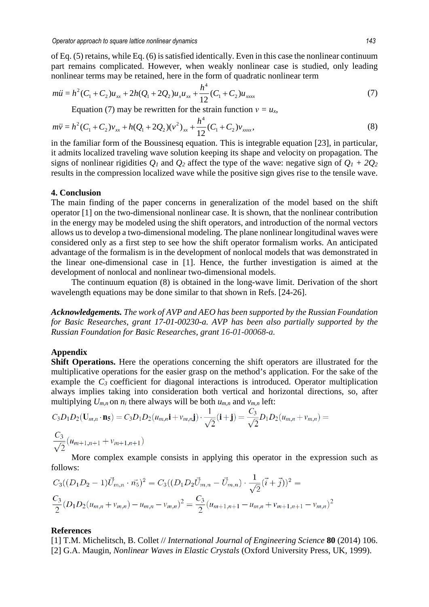of Eq. (5) retains, while Eq. (6) issatisfied identically. Even in this case the nonlinear continuum part remains complicated. However, when weakly nonlinear case is studied, only leading nonlinear terms may be retained, here in the form of quadratic nonlinear term

$$
m\ddot{u} = h^2 (C_1 + C_2) u_{xx} + 2h(Q_1 + 2Q_2) u_{x} u_{xx} + \frac{h^4}{12} (C_1 + C_2) u_{xxxx}
$$
\n<sup>(7)</sup>

Equation (7) may be rewritten for the strain function  $v = u_x$ ,

$$
m\ddot{v} = h^2 (C_1 + C_2) v_{xx} + h(Q_1 + 2Q_2) (v^2)_{xx} + \frac{h^4}{12} (C_1 + C_2) v_{xxxx},
$$
\n(8)

in the familiar form of the Boussinesq equation. This is integrable equation [23], in particular, it admits localized traveling wave solution keeping its shape and velocity on propagation. The signs of nonlinear rigidities  $Q_1$  and  $Q_2$  affect the type of the wave: negative sign of  $Q_1 + 2Q_2$ results in the compression localized wave while the positive sign gives rise to the tensile wave.

#### **4. Conclusion**

The main finding of the paper concerns in generalization of the model based on the shift operator [1] on the two-dimensional nonlinear case. It is shown, that the nonlinear contribution in the energy may be modeled using the shift operators, and introduction of the normal vectors allows us to develop a two-dimensional modeling. The plane nonlinear longitudinal waves were considered only as a first step to see how the shift operator formalism works. An anticipated advantage of the formalism is in the development of nonlocal models that was demonstrated in the linear one-dimensional case in [1]. Hence, the further investigation is aimed at the development of nonlocal and nonlinear two-dimensional models.

The continuum equation (8) is obtained in the long-wave limit. Derivation of the short wavelength equations may be done similar to that shown in Refs. [24-26].

*Acknowledgements. The work of AVP and AEO has been supported by the Russian Foundation for Basic Researches, grant 17-01-00230-a. AVP has been also partially supported by the Russian Foundation for Basic Researches, grant 16-01-00068-a.*

### **Appendix**

**Shift Operations.** Here the operations concerning the shift operators are illustrated for the multiplicative operations for the easier grasp on the method's application. For the sake of the example the  $C_3$  coefficient for diagonal interactions is introduced. Operator multiplication always implies taking into consideration both vertical and horizontal directions, so, after multiplying *Um,n* on *ni* there always will be both *um,n* and *vm,n* left:

$$
C_3D_1D_2(\mathbf{U}_{m,n}\cdot\mathbf{n}_5)=C_3D_1D_2(u_{m,n}\mathbf{i}+v_{m,n}\mathbf{j})\cdot\frac{1}{\sqrt{2}}(\mathbf{i}+\mathbf{j})=\frac{C_3}{\sqrt{2}}D_1D_2(u_{m,n}+v_{m,n})=
$$

$$
\frac{C_3}{\sqrt{2}}(u_{m+1,n+1} + v_{m+1,n+1})
$$

More complex example consists in applying this operator in the expression such as follows:

$$
C_3((D_1D_2 - 1)\vec{U}_{m,n} \cdot \vec{n_5})^2 = C_3((D_1D_2\vec{U}_{m,n} - \vec{U}_{m,n}) \cdot \frac{1}{\sqrt{2}}(\vec{i} + \vec{j}))^2 =
$$
  

$$
\frac{C_3}{2}(D_1D_2(u_{m,n} + v_{m,n}) - u_{m,n} - v_{m,n})^2 = \frac{C_3}{2}(u_{m+1,n+1} - u_{m,n} + v_{m+1,n+1} - v_{m,n})^2
$$

#### **References**

[1] T.M. Michelitsch, B. Collet // *International Journal of Engineering Science* **80** (2014) 106. [2] G.A. Maugin, *Nonlinear Waves in Elastic Crystals* (Oxford University Press, UK, 1999).